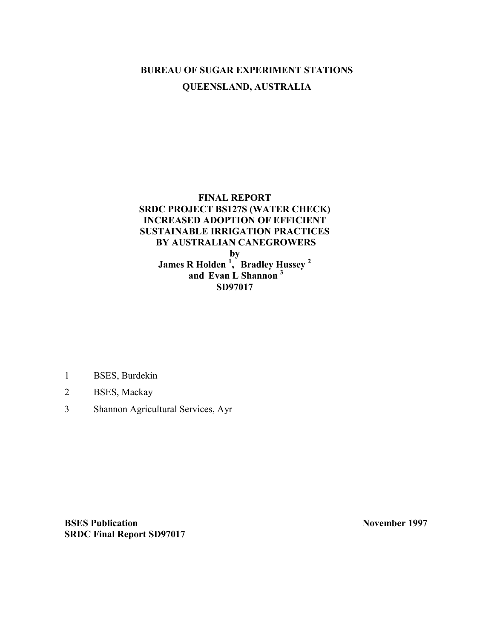# **BUREAU OF SUGAR EXPERIMENT STATIONS QUEENSLAND, AUSTRALIA**

# **FINAL REPORT SRDC PROJECT BS127S (WATER CHECK) INCREASED ADOPTION OF EFFICIENT SUSTAINABLE IRRIGATION PRACTICES BY AUSTRALIAN CANEGROWERS**

**by James R Holden <sup>1</sup> , Bradley Hussey 2**  and Evan L Shannon<sup>3</sup> **SD97017**

- 1 BSES, Burdekin
- 2 BSES, Mackay
- 3 Shannon Agricultural Services, Ayr

**BSES Publication** November 1997 **SRDC Final Report SD97017**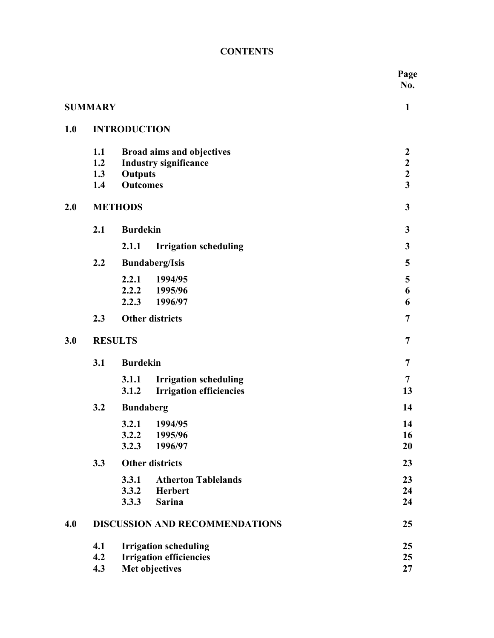# **CONTENTS**

|     |                |                                         | Page<br>No.             |
|-----|----------------|-----------------------------------------|-------------------------|
|     | <b>SUMMARY</b> |                                         | $\mathbf{1}$            |
| 1.0 |                | <b>INTRODUCTION</b>                     |                         |
|     | 1.1            | <b>Broad aims and objectives</b>        | $\boldsymbol{2}$        |
|     | 1.2            | <b>Industry significance</b>            | $\boldsymbol{2}$        |
|     | 1.3            | <b>Outputs</b>                          | $\mathbf{2}$            |
|     | 1.4            | <b>Outcomes</b>                         | $\overline{\mathbf{3}}$ |
| 2.0 |                | <b>METHODS</b>                          | 3                       |
|     | 2.1            | <b>Burdekin</b>                         | 3                       |
|     |                | 2.1.1<br><b>Irrigation scheduling</b>   | 3                       |
|     | 2.2            | <b>Bundaberg/Isis</b>                   | 5                       |
|     |                | 2.2.1<br>1994/95                        | 5                       |
|     |                | 2.2.2 1995/96                           | 6                       |
|     |                | 1996/97<br>2.2.3                        | 6                       |
|     | 2.3            | <b>Other districts</b>                  | $\overline{7}$          |
| 3.0 |                | <b>RESULTS</b>                          | $\overline{7}$          |
|     | 3.1            | <b>Burdekin</b>                         | $\overline{7}$          |
|     |                | <b>Irrigation scheduling</b><br>3.1.1   | 7                       |
|     |                | <b>Irrigation efficiencies</b><br>3.1.2 | 13                      |
|     | 3.2            | <b>Bundaberg</b>                        | 14                      |
|     |                | 3.2.1<br>1994/95                        | 14                      |
|     |                | 3.2.2<br>1995/96                        | 16                      |
|     |                | 3.2.3<br>1996/97                        | 20                      |
|     | 3.3            | <b>Other districts</b>                  | 23                      |
|     |                | 3.3.1<br><b>Atherton Tablelands</b>     | 23                      |
|     |                | <b>Herbert</b><br>3.3.2                 | 24                      |
|     |                | 3.3.3<br><b>Sarina</b>                  | 24                      |
| 4.0 |                | <b>DISCUSSION AND RECOMMENDATIONS</b>   | 25                      |
|     | 4.1            | <b>Irrigation scheduling</b>            | 25                      |
|     | 4.2            | <b>Irrigation efficiencies</b>          | 25                      |
|     | 4.3            | Met objectives                          | 27                      |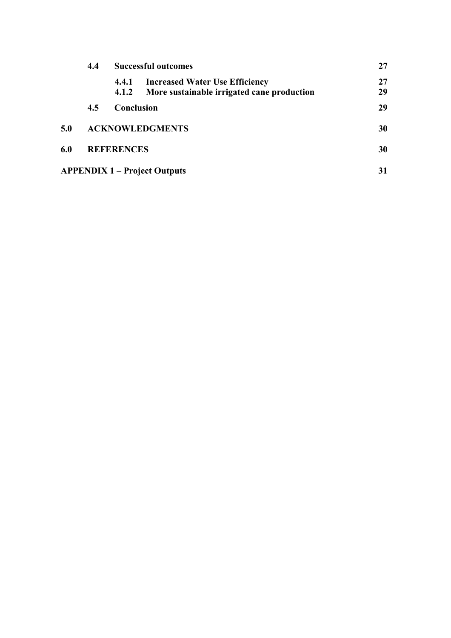|     | 4.4                                 | <b>Successful outcomes</b> |                                                                                     |          |  |
|-----|-------------------------------------|----------------------------|-------------------------------------------------------------------------------------|----------|--|
|     |                                     | 4.4.1<br>4.1.2             | <b>Increased Water Use Efficiency</b><br>More sustainable irrigated cane production | 27<br>29 |  |
|     | 4.5                                 | <b>Conclusion</b>          |                                                                                     | 29       |  |
| 5.0 |                                     |                            | <b>ACKNOWLEDGMENTS</b>                                                              | 30       |  |
| 6.0 |                                     | <b>REFERENCES</b>          |                                                                                     | 30       |  |
|     | <b>APPENDIX 1 – Project Outputs</b> |                            |                                                                                     |          |  |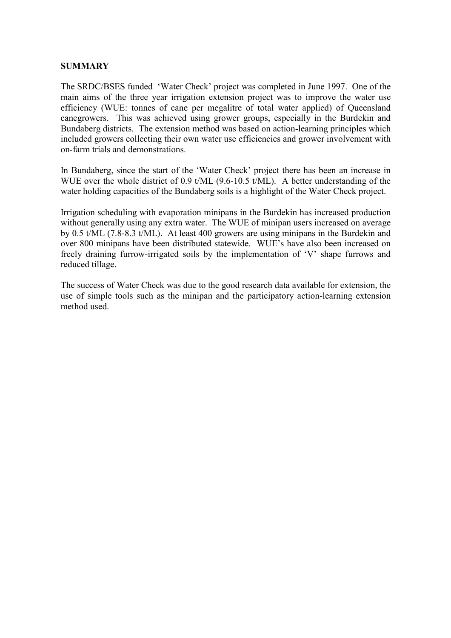### **SUMMARY**

The SRDC/BSES funded 'Water Check' project was completed in June 1997. One of the main aims of the three year irrigation extension project was to improve the water use efficiency (WUE: tonnes of cane per megalitre of total water applied) of Queensland canegrowers. This was achieved using grower groups, especially in the Burdekin and Bundaberg districts. The extension method was based on action-learning principles which included growers collecting their own water use efficiencies and grower involvement with on-farm trials and demonstrations.

In Bundaberg, since the start of the 'Water Check' project there has been an increase in WUE over the whole district of 0.9 t/ML (9.6-10.5 t/ML). A better understanding of the water holding capacities of the Bundaberg soils is a highlight of the Water Check project.

Irrigation scheduling with evaporation minipans in the Burdekin has increased production without generally using any extra water. The WUE of minipan users increased on average by 0.5 t/ML (7.8-8.3 t/ML). At least 400 growers are using minipans in the Burdekin and over 800 minipans have been distributed statewide. WUE's have also been increased on freely draining furrow-irrigated soils by the implementation of 'V' shape furrows and reduced tillage.

The success of Water Check was due to the good research data available for extension, the use of simple tools such as the minipan and the participatory action-learning extension method used.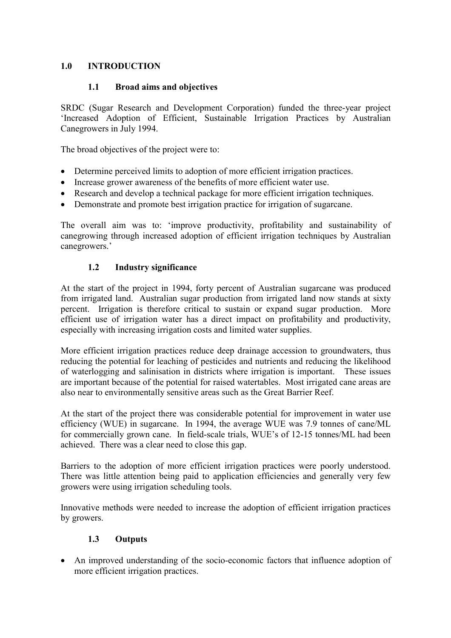# **1.0 INTRODUCTION**

# **1.1 Broad aims and objectives**

SRDC (Sugar Research and Development Corporation) funded the three-year project 'Increased Adoption of Efficient, Sustainable Irrigation Practices by Australian Canegrowers in July 1994.

The broad objectives of the project were to:

- Determine perceived limits to adoption of more efficient irrigation practices.
- Increase grower awareness of the benefits of more efficient water use.
- Research and develop a technical package for more efficient irrigation techniques.
- Demonstrate and promote best irrigation practice for irrigation of sugarcane.

The overall aim was to: 'improve productivity, profitability and sustainability of canegrowing through increased adoption of efficient irrigation techniques by Australian canegrowers.'

# **1.2 Industry significance**

At the start of the project in 1994, forty percent of Australian sugarcane was produced from irrigated land. Australian sugar production from irrigated land now stands at sixty percent. Irrigation is therefore critical to sustain or expand sugar production. More efficient use of irrigation water has a direct impact on profitability and productivity, especially with increasing irrigation costs and limited water supplies.

More efficient irrigation practices reduce deep drainage accession to groundwaters, thus reducing the potential for leaching of pesticides and nutrients and reducing the likelihood of waterlogging and salinisation in districts where irrigation is important. These issues are important because of the potential for raised watertables. Most irrigated cane areas are also near to environmentally sensitive areas such as the Great Barrier Reef.

At the start of the project there was considerable potential for improvement in water use efficiency (WUE) in sugarcane. In 1994, the average WUE was 7.9 tonnes of cane/ML for commercially grown cane. In field-scale trials, WUE's of 12-15 tonnes/ML had been achieved. There was a clear need to close this gap.

Barriers to the adoption of more efficient irrigation practices were poorly understood. There was little attention being paid to application efficiencies and generally very few growers were using irrigation scheduling tools.

Innovative methods were needed to increase the adoption of efficient irrigation practices by growers.

# **1.3 Outputs**

- An improved understanding of the socio-economic factors that influence adoption of more efficient irrigation practices.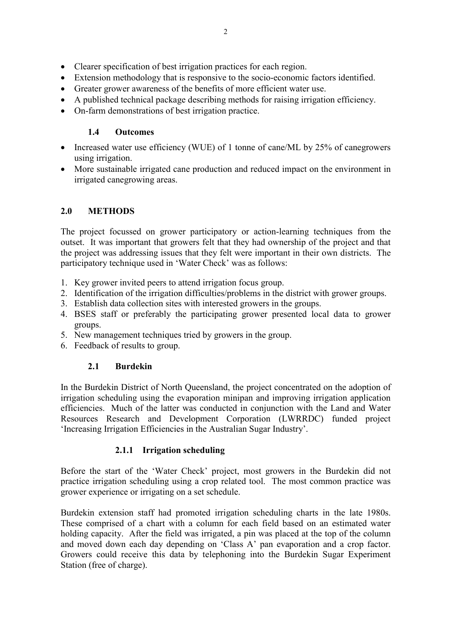- Clearer specification of best irrigation practices for each region.
- Extension methodology that is responsive to the socio-economic factors identified.
- Greater grower awareness of the benefits of more efficient water use.
- A published technical package describing methods for raising irrigation efficiency.
- On-farm demonstrations of best irrigation practice.

### **1.4 Outcomes**

- Increased water use efficiency (WUE) of 1 tonne of cane/ML by 25% of canegrowers using irrigation.
- More sustainable irrigated cane production and reduced impact on the environment in irrigated canegrowing areas.

# **2.0 METHODS**

The project focussed on grower participatory or action-learning techniques from the outset. It was important that growers felt that they had ownership of the project and that the project was addressing issues that they felt were important in their own districts. The participatory technique used in 'Water Check' was as follows:

- 1. Key grower invited peers to attend irrigation focus group.
- 2. Identification of the irrigation difficulties/problems in the district with grower groups.
- 3. Establish data collection sites with interested growers in the groups.
- 4. BSES staff or preferably the participating grower presented local data to grower groups.
- 5. New management techniques tried by growers in the group.
- 6. Feedback of results to group.

### **2.1 Burdekin**

In the Burdekin District of North Queensland, the project concentrated on the adoption of irrigation scheduling using the evaporation minipan and improving irrigation application efficiencies. Much of the latter was conducted in conjunction with the Land and Water Resources Research and Development Corporation (LWRRDC) funded project 'Increasing Irrigation Efficiencies in the Australian Sugar Industry'.

### **2.1.1 Irrigation scheduling**

Before the start of the 'Water Check' project, most growers in the Burdekin did not practice irrigation scheduling using a crop related tool. The most common practice was grower experience or irrigating on a set schedule.

Burdekin extension staff had promoted irrigation scheduling charts in the late 1980s. These comprised of a chart with a column for each field based on an estimated water holding capacity. After the field was irrigated, a pin was placed at the top of the column and moved down each day depending on 'Class A' pan evaporation and a crop factor. Growers could receive this data by telephoning into the Burdekin Sugar Experiment Station (free of charge).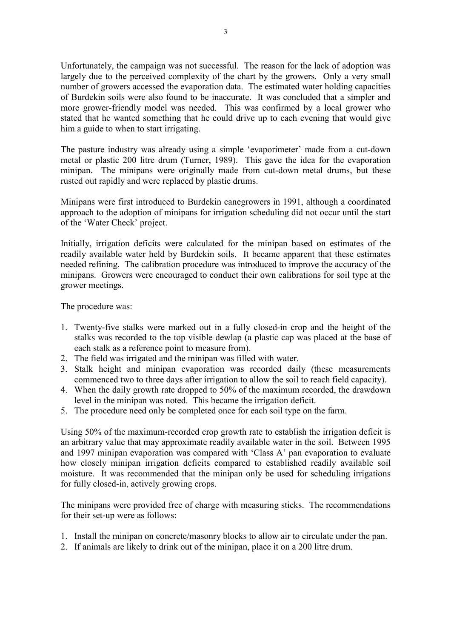Unfortunately, the campaign was not successful. The reason for the lack of adoption was largely due to the perceived complexity of the chart by the growers. Only a very small number of growers accessed the evaporation data. The estimated water holding capacities of Burdekin soils were also found to be inaccurate. It was concluded that a simpler and more grower-friendly model was needed. This was confirmed by a local grower who stated that he wanted something that he could drive up to each evening that would give him a guide to when to start irrigating.

The pasture industry was already using a simple 'evaporimeter' made from a cut-down metal or plastic 200 litre drum (Turner, 1989). This gave the idea for the evaporation minipan. The minipans were originally made from cut-down metal drums, but these rusted out rapidly and were replaced by plastic drums.

Minipans were first introduced to Burdekin canegrowers in 1991, although a coordinated approach to the adoption of minipans for irrigation scheduling did not occur until the start of the 'Water Check' project.

Initially, irrigation deficits were calculated for the minipan based on estimates of the readily available water held by Burdekin soils. It became apparent that these estimates needed refining. The calibration procedure was introduced to improve the accuracy of the minipans. Growers were encouraged to conduct their own calibrations for soil type at the grower meetings.

The procedure was:

- 1. Twenty-five stalks were marked out in a fully closed-in crop and the height of the stalks was recorded to the top visible dewlap (a plastic cap was placed at the base of each stalk as a reference point to measure from).
- 2. The field was irrigated and the minipan was filled with water.
- 3. Stalk height and minipan evaporation was recorded daily (these measurements commenced two to three days after irrigation to allow the soil to reach field capacity).
- 4. When the daily growth rate dropped to 50% of the maximum recorded, the drawdown level in the minipan was noted. This became the irrigation deficit.
- 5. The procedure need only be completed once for each soil type on the farm.

Using 50% of the maximum-recorded crop growth rate to establish the irrigation deficit is an arbitrary value that may approximate readily available water in the soil. Between 1995 and 1997 minipan evaporation was compared with 'Class A' pan evaporation to evaluate how closely minipan irrigation deficits compared to established readily available soil moisture. It was recommended that the minipan only be used for scheduling irrigations for fully closed-in, actively growing crops.

The minipans were provided free of charge with measuring sticks. The recommendations for their set-up were as follows:

- 1. Install the minipan on concrete/masonry blocks to allow air to circulate under the pan.
- 2. If animals are likely to drink out of the minipan, place it on a 200 litre drum.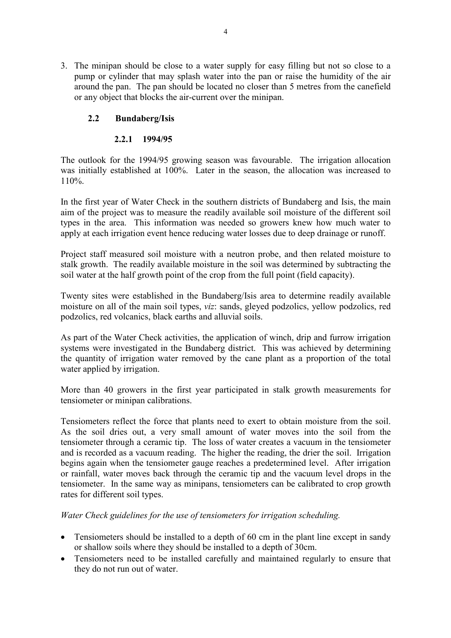3. The minipan should be close to a water supply for easy filling but not so close to a pump or cylinder that may splash water into the pan or raise the humidity of the air around the pan. The pan should be located no closer than 5 metres from the canefield or any object that blocks the air-current over the minipan.

### **2.2 Bundaberg/Isis**

### **2.2.1 1994/95**

The outlook for the 1994/95 growing season was favourable. The irrigation allocation was initially established at 100%. Later in the season, the allocation was increased to 110%.

In the first year of Water Check in the southern districts of Bundaberg and Isis, the main aim of the project was to measure the readily available soil moisture of the different soil types in the area. This information was needed so growers knew how much water to apply at each irrigation event hence reducing water losses due to deep drainage or runoff.

Project staff measured soil moisture with a neutron probe, and then related moisture to stalk growth. The readily available moisture in the soil was determined by subtracting the soil water at the half growth point of the crop from the full point (field capacity).

Twenty sites were established in the Bundaberg/Isis area to determine readily available moisture on all of the main soil types, *viz*: sands, gleyed podzolics, yellow podzolics, red podzolics, red volcanics, black earths and alluvial soils.

As part of the Water Check activities, the application of winch, drip and furrow irrigation systems were investigated in the Bundaberg district. This was achieved by determining the quantity of irrigation water removed by the cane plant as a proportion of the total water applied by irrigation.

More than 40 growers in the first year participated in stalk growth measurements for tensiometer or minipan calibrations.

Tensiometers reflect the force that plants need to exert to obtain moisture from the soil. As the soil dries out, a very small amount of water moves into the soil from the tensiometer through a ceramic tip. The loss of water creates a vacuum in the tensiometer and is recorded as a vacuum reading. The higher the reading, the drier the soil. Irrigation begins again when the tensiometer gauge reaches a predetermined level. After irrigation or rainfall, water moves back through the ceramic tip and the vacuum level drops in the tensiometer. In the same way as minipans, tensiometers can be calibrated to crop growth rates for different soil types.

*Water Check guidelines for the use of tensiometers for irrigation scheduling.* 

- Tensiometers should be installed to a depth of 60 cm in the plant line except in sandy or shallow soils where they should be installed to a depth of 30cm.
- Tensiometers need to be installed carefully and maintained regularly to ensure that they do not run out of water.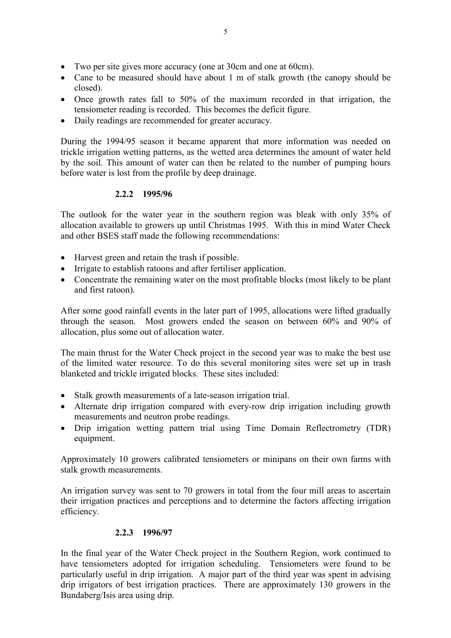- Two per site gives more accuracy (one at 30cm and one at 60cm).
- Cane to be measured should have about 1 m of stalk growth (the canopy should be closed).
- Once growth rates fall to 50% of the maximum recorded in that irrigation, the tensiometer reading is recorded. This becomes the deficit figure.
- Daily readings are recommended for greater accuracy.

During the 1994/95 season it became apparent that more information was needed on trickle irrigation wetting patterns, as the wetted area determines the amount of water held by the soil. This amount of water can then be related to the number of pumping hours before water is lost from the profile by deep drainage.

### **2.2.2 1995/96**

The outlook for the water year in the southern region was bleak with only 35% of allocation available to growers up until Christmas 1995. With this in mind Water Check and other BSES staff made the following recommendations:

- Harvest green and retain the trash if possible.
- Irrigate to establish ratoons and after fertiliser application.
- Concentrate the remaining water on the most profitable blocks (most likely to be plant and first ratoon).

After some good rainfall events in the later part of 1995, allocations were lifted gradually through the season. Most growers ended the season on between 60% and 90% of allocation, plus some out of allocation water.

The main thrust for the Water Check project in the second year was to make the best use of the limited water resource. To do this several monitoring sites were set up in trash blanketed and trickle irrigated blocks. These sites included:

- Stalk growth measurements of a late-season irrigation trial.
- Alternate drip irrigation compared with every-row drip irrigation including growth measurements and neutron probe readings.
- Drip irrigation wetting pattern trial using Time Domain Reflectrometry (TDR) equipment.

Approximately 10 growers calibrated tensiometers or minipans on their own farms with stalk growth measurements.

An irrigation survey was sent to 70 growers in total from the four mill areas to ascertain their irrigation practices and perceptions and to determine the factors affecting irrigation efficiency.

### **2.2.3 1996/97**

In the final year of the Water Check project in the Southern Region, work continued to have tensiometers adopted for irrigation scheduling. Tensiometers were found to be particularly useful in drip irrigation. A major part of the third year was spent in advising drip irrigators of best irrigation practices. There are approximately 130 growers in the Bundaberg/Isis area using drip.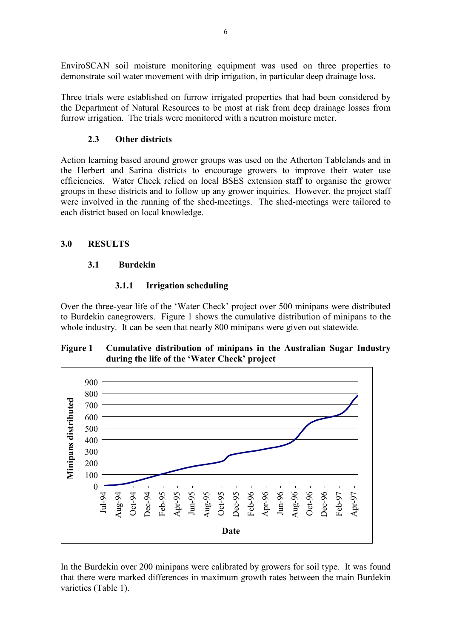EnviroSCAN soil moisture monitoring equipment was used on three properties to demonstrate soil water movement with drip irrigation, in particular deep drainage loss.

Three trials were established on furrow irrigated properties that had been considered by the Department of Natural Resources to be most at risk from deep drainage losses from furrow irrigation. The trials were monitored with a neutron moisture meter.

### **2.3 Other districts**

Action learning based around grower groups was used on the Atherton Tablelands and in the Herbert and Sarina districts to encourage growers to improve their water use efficiencies. Water Check relied on local BSES extension staff to organise the grower groups in these districts and to follow up any grower inquiries. However, the project staff were involved in the running of the shed-meetings. The shed-meetings were tailored to each district based on local knowledge.

### **3.0 RESULTS**

### **3.1 Burdekin**

### **3.1.1 Irrigation scheduling**

Over the three-year life of the 'Water Check' project over 500 minipans were distributed to Burdekin canegrowers. Figure 1 shows the cumulative distribution of minipans to the whole industry. It can be seen that nearly 800 minipans were given out statewide.

### **Figure 1 Cumulative distribution of minipans in the Australian Sugar Industry during the life of the 'Water Check' project**



In the Burdekin over 200 minipans were calibrated by growers for soil type. It was found that there were marked differences in maximum growth rates between the main Burdekin varieties (Table 1).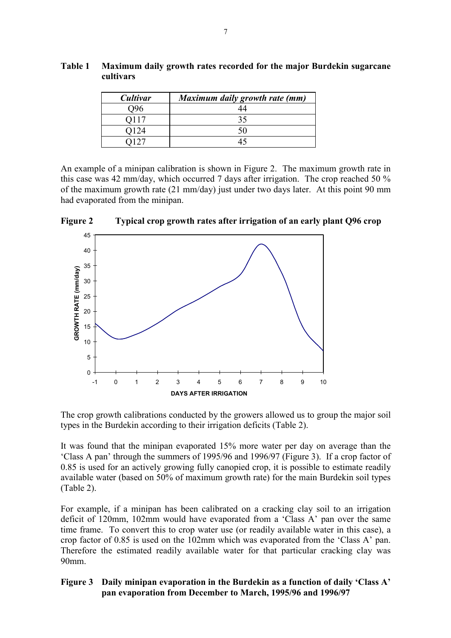| Cultivar | Maximum daily growth rate (mm) |
|----------|--------------------------------|
|          |                                |
| 0117     | 35                             |
| O124     |                                |
|          |                                |

**Table 1 Maximum daily growth rates recorded for the major Burdekin sugarcane cultivars** 

An example of a minipan calibration is shown in Figure 2. The maximum growth rate in this case was 42 mm/day, which occurred 7 days after irrigation. The crop reached 50 % of the maximum growth rate (21 mm/day) just under two days later. At this point 90 mm had evaporated from the minipan.



**Figure 2 Typical crop growth rates after irrigation of an early plant Q96 crop** 

The crop growth calibrations conducted by the growers allowed us to group the major soil types in the Burdekin according to their irrigation deficits (Table 2).

It was found that the minipan evaporated 15% more water per day on average than the 'Class A pan' through the summers of 1995/96 and 1996/97 (Figure 3). If a crop factor of 0.85 is used for an actively growing fully canopied crop, it is possible to estimate readily available water (based on 50% of maximum growth rate) for the main Burdekin soil types (Table 2).

For example, if a minipan has been calibrated on a cracking clay soil to an irrigation deficit of 120mm, 102mm would have evaporated from a 'Class A' pan over the same time frame. To convert this to crop water use (or readily available water in this case), a crop factor of 0.85 is used on the 102mm which was evaporated from the 'Class A' pan. Therefore the estimated readily available water for that particular cracking clay was 90mm.

#### **Figure 3 Daily minipan evaporation in the Burdekin as a function of daily 'Class A' pan evaporation from December to March, 1995/96 and 1996/97**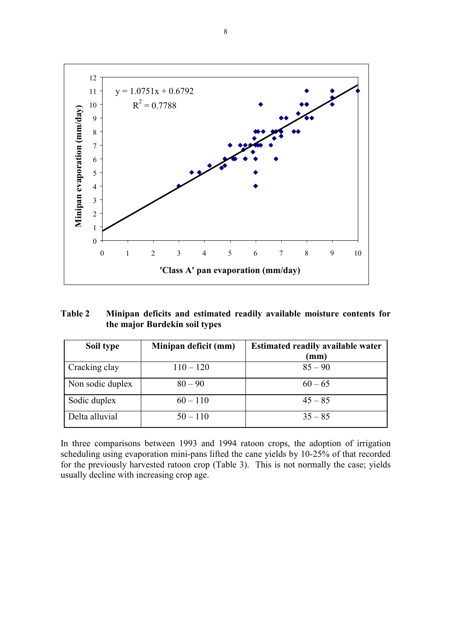

| <b>Table 2</b> | Minipan deficits and estimated readily available moisture contents for |  |
|----------------|------------------------------------------------------------------------|--|
|                | the major Burdekin soil types                                          |  |

| Soil type        | Minipan deficit (mm) | <b>Estimated readily available water</b><br>$(\mathbf{mm})$ |
|------------------|----------------------|-------------------------------------------------------------|
| Cracking clay    | $110 - 120$          | $85 - 90$                                                   |
| Non sodic duplex | $80 - 90$            | $60 - 65$                                                   |
| Sodic duplex     | $60 - 110$           | $45 - 85$                                                   |
| Delta alluvial   | $50 - 110$           | $35 - 85$                                                   |

In three comparisons between 1993 and 1994 ratoon crops, the adoption of irrigation scheduling using evaporation mini-pans lifted the cane yields by 10-25% of that recorded for the previously harvested ratoon crop (Table 3). This is not normally the case; yields usually decline with increasing crop age.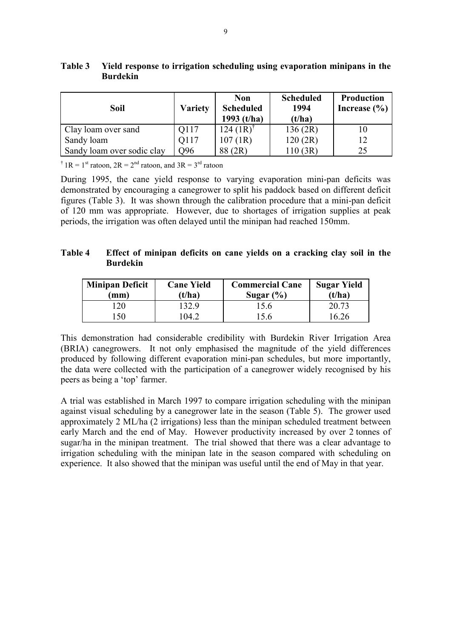| Soil                       | <b>Variety</b>  | <b>Non</b><br><b>Scheduled</b><br>1993 $(t/ha)$ | <b>Scheduled</b><br>1994<br>(t/ha) | <b>Production</b><br>Increase $(\% )$ |
|----------------------------|-----------------|-------------------------------------------------|------------------------------------|---------------------------------------|
| Clay loam over sand        | Q117            | 124 (1R)                                        | 136(2R)                            |                                       |
| Sandy loam                 | Q117            | 107(1R)                                         | 120(2R)                            | 12                                    |
| Sandy loam over sodic clay | O <sub>96</sub> | 88 (2R)                                         | 110(3R)                            | 25                                    |

### **Table 3 Yield response to irrigation scheduling using evaporation minipans in the Burdekin**

<sup>†</sup>  $1R = 1$ <sup>st</sup> ratoon,  $2R = 2^{nd}$  ratoon, and  $3R = 3^{rd}$  ratoon

During 1995, the cane yield response to varying evaporation mini-pan deficits was demonstrated by encouraging a canegrower to split his paddock based on different deficit figures (Table 3). It was shown through the calibration procedure that a mini-pan deficit of 120 mm was appropriate. However, due to shortages of irrigation supplies at peak periods, the irrigation was often delayed until the minipan had reached 150mm.

### **Table 4 Effect of minipan deficits on cane yields on a cracking clay soil in the Burdekin**

| <b>Minipan Deficit</b><br>(mm) | <b>Cane Yield</b><br>(t/ha) | <b>Commercial Cane</b><br>Sugar $(\%)$ | <b>Sugar Yield</b><br>(t/ha) |
|--------------------------------|-----------------------------|----------------------------------------|------------------------------|
| 20                             | 132.9                       | 15.6                                   | 20.73                        |
| 50                             | 104.2                       | 15.6                                   | 16.26                        |

This demonstration had considerable credibility with Burdekin River Irrigation Area (BRIA) canegrowers. It not only emphasised the magnitude of the yield differences produced by following different evaporation mini-pan schedules, but more importantly, the data were collected with the participation of a canegrower widely recognised by his peers as being a 'top' farmer.

A trial was established in March 1997 to compare irrigation scheduling with the minipan against visual scheduling by a canegrower late in the season (Table 5). The grower used approximately 2 ML/ha (2 irrigations) less than the minipan scheduled treatment between early March and the end of May. However productivity increased by over 2 tonnes of sugar/ha in the minipan treatment. The trial showed that there was a clear advantage to irrigation scheduling with the minipan late in the season compared with scheduling on experience. It also showed that the minipan was useful until the end of May in that year.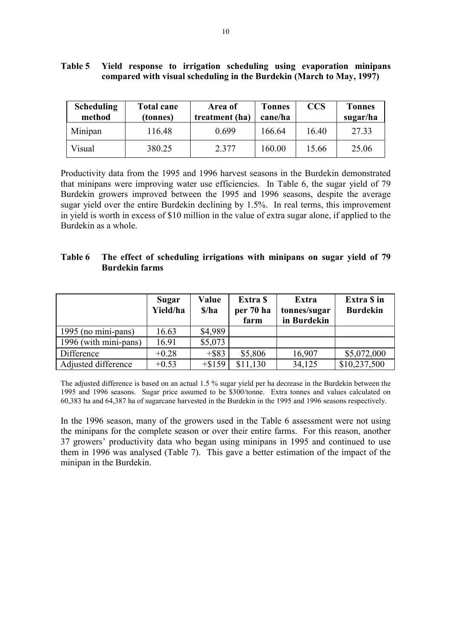| <b>Scheduling</b><br>method | <b>Total cane</b><br>(tonnes) | Area of<br>treatment (ha) | <b>Tonnes</b><br>cane/ha | <b>CCS</b> | <b>Tonnes</b><br>sugar/ha |
|-----------------------------|-------------------------------|---------------------------|--------------------------|------------|---------------------------|
| Minipan                     | 116.48                        | 0.699                     | 166.64                   | 16.40      | 27.33                     |
| Visual                      | 380.25                        | 2.377                     | 60.00                    | 15.66      | 25.06                     |

|  |  |  | Table 5 Yield response to irrigation scheduling using evaporation minipans |  |
|--|--|--|----------------------------------------------------------------------------|--|
|  |  |  | compared with visual scheduling in the Burdekin (March to May, 1997)       |  |

Productivity data from the 1995 and 1996 harvest seasons in the Burdekin demonstrated that minipans were improving water use efficiencies. In Table 6, the sugar yield of 79 Burdekin growers improved between the 1995 and 1996 seasons, despite the average sugar yield over the entire Burdekin declining by 1.5%. In real terms, this improvement in yield is worth in excess of \$10 million in the value of extra sugar alone, if applied to the Burdekin as a whole.

| Table 6 The effect of scheduling irrigations with minipans on sugar yield of 79 |  |  |  |  |
|---------------------------------------------------------------------------------|--|--|--|--|
| <b>Burdekin farms</b>                                                           |  |  |  |  |

|                       | Sugar<br>Yield/ha | Value<br>\$/ha | Extra \$<br>per 70 ha<br>farm | Extra<br>tonnes/sugar<br>in Burdekin | Extra \$ in<br><b>Burdekin</b> |
|-----------------------|-------------------|----------------|-------------------------------|--------------------------------------|--------------------------------|
| 1995 (no mini-pans)   | 16.63             | \$4.989        |                               |                                      |                                |
| 1996 (with mini-pans) | 16.91             | \$5,073        |                               |                                      |                                |
| Difference            | $+0.28$           | $+$ \$83       | \$5,806                       | 16,907                               | \$5,072,000                    |
| Adjusted difference   | $+0.53$           | $+ $159$       | \$11,130                      | 34,125                               | \$10,237,500                   |

The adjusted difference is based on an actual 1.5 % sugar yield per ha decrease in the Burdekin between the 1995 and 1996 seasons. Sugar price assumed to be \$300/tonne. Extra tonnes and values calculated on 60,383 ha and 64,387 ha of sugarcane harvested in the Burdekin in the 1995 and 1996 seasons respectively.

In the 1996 season, many of the growers used in the Table 6 assessment were not using the minipans for the complete season or over their entire farms. For this reason, another 37 growers' productivity data who began using minipans in 1995 and continued to use them in 1996 was analysed (Table 7). This gave a better estimation of the impact of the minipan in the Burdekin.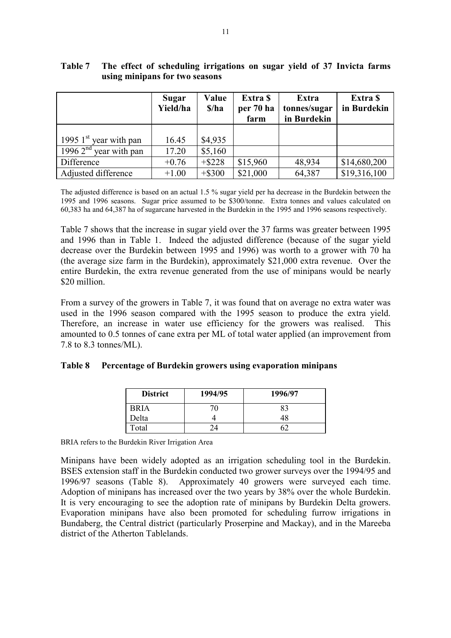|                                    | Sugar<br>Yield/ha | Value<br>\$/ha | Extra \$<br>per 70 ha<br>farm | Extra<br>tonnes/sugar<br>in Burdekin | Extra \$<br>in Burdekin |
|------------------------------------|-------------------|----------------|-------------------------------|--------------------------------------|-------------------------|
| 1995 $1st$ year with pan           | 16.45             | \$4,935        |                               |                                      |                         |
| $\sqrt{1996} 2^{nd}$ year with pan | 17.20             | \$5,160        |                               |                                      |                         |
| Difference                         | $+0.76$           | $+$ \$228      | \$15,960                      | 48,934                               | \$14,680,200            |
| Adjusted difference                | $+1.00$           | $+$ \$300      | \$21,000                      | 64,387                               | \$19,316,100            |

#### **Table 7 The effect of scheduling irrigations on sugar yield of 37 Invicta farms using minipans for two seasons**

The adjusted difference is based on an actual 1.5 % sugar yield per ha decrease in the Burdekin between the 1995 and 1996 seasons. Sugar price assumed to be \$300/tonne. Extra tonnes and values calculated on 60,383 ha and 64,387 ha of sugarcane harvested in the Burdekin in the 1995 and 1996 seasons respectively.

Table 7 shows that the increase in sugar yield over the 37 farms was greater between 1995 and 1996 than in Table 1. Indeed the adjusted difference (because of the sugar yield decrease over the Burdekin between 1995 and 1996) was worth to a grower with 70 ha (the average size farm in the Burdekin), approximately \$21,000 extra revenue. Over the entire Burdekin, the extra revenue generated from the use of minipans would be nearly \$20 million.

From a survey of the growers in Table 7, it was found that on average no extra water was used in the 1996 season compared with the 1995 season to produce the extra yield. Therefore, an increase in water use efficiency for the growers was realised. This amounted to 0.5 tonnes of cane extra per ML of total water applied (an improvement from 7.8 to 8.3 tonnes/ML).

| Table 8 Percentage of Burdekin growers using evaporation minipans |  |
|-------------------------------------------------------------------|--|
|                                                                   |  |

| <b>District</b> | 1994/95 | 1996/97 |
|-----------------|---------|---------|
| <b>BRIA</b>     |         | 83      |
| Delta           |         |         |
| Total           | 7Δ      |         |

BRIA refers to the Burdekin River Irrigation Area

Minipans have been widely adopted as an irrigation scheduling tool in the Burdekin. BSES extension staff in the Burdekin conducted two grower surveys over the 1994/95 and 1996/97 seasons (Table 8). Approximately 40 growers were surveyed each time. Adoption of minipans has increased over the two years by 38% over the whole Burdekin. It is very encouraging to see the adoption rate of minipans by Burdekin Delta growers. Evaporation minipans have also been promoted for scheduling furrow irrigations in Bundaberg, the Central district (particularly Proserpine and Mackay), and in the Mareeba district of the Atherton Tablelands.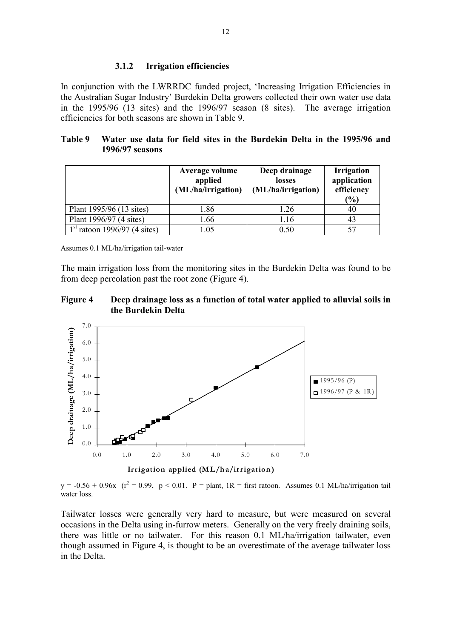#### **3.1.2 Irrigation efficiencies**

In conjunction with the LWRRDC funded project, 'Increasing Irrigation Efficiencies in the Australian Sugar Industry' Burdekin Delta growers collected their own water use data in the 1995/96 (13 sites) and the 1996/97 season (8 sites). The average irrigation efficiencies for both seasons are shown in Table 9.

#### **Table 9 Water use data for field sites in the Burdekin Delta in the 1995/96 and 1996/97 seasons**

|                                | Average volume<br>applied<br>(ML/ha/irrigation) | Deep drainage<br>losses<br>(ML/ha/irrigation) | <b>Irrigation</b><br>application<br>efficiency<br>(%) |
|--------------------------------|-------------------------------------------------|-----------------------------------------------|-------------------------------------------------------|
| Plant 1995/96 (13 sites)       | l.86                                            | 1.26                                          | 40                                                    |
| Plant 1996/97 (4 sites)        | l.66                                            | 1.16                                          | 43                                                    |
| $1st$ ratoon 1996/97 (4 sites) | 1.05                                            | 0.50                                          | 57                                                    |

Assumes 0.1 ML/ha/irrigation tail-water

The main irrigation loss from the monitoring sites in the Burdekin Delta was found to be from deep percolation past the root zone (Figure 4).





 $y = -0.56 + 0.96x$  ( $r^2 = 0.99$ ,  $p < 0.01$ . P = plant, 1R = first ratoon. Assumes 0.1 ML/ha/irrigation tail water loss.

Tailwater losses were generally very hard to measure, but were measured on several occasions in the Delta using in-furrow meters. Generally on the very freely draining soils, there was little or no tailwater. For this reason 0.1 ML/ha/irrigation tailwater, even though assumed in Figure 4, is thought to be an overestimate of the average tailwater loss in the Delta.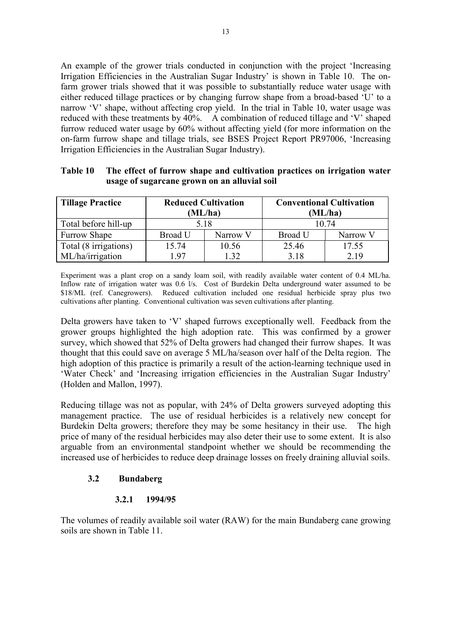An example of the grower trials conducted in conjunction with the project 'Increasing Irrigation Efficiencies in the Australian Sugar Industry' is shown in Table 10. The onfarm grower trials showed that it was possible to substantially reduce water usage with either reduced tillage practices or by changing furrow shape from a broad-based 'U' to a narrow 'V' shape, without affecting crop yield. In the trial in Table 10, water usage was reduced with these treatments by 40%. A combination of reduced tillage and 'V' shaped furrow reduced water usage by 60% without affecting yield (for more information on the on-farm furrow shape and tillage trials, see BSES Project Report PR97006, 'Increasing Irrigation Efficiencies in the Australian Sugar Industry).

| Table 10 | The effect of furrow shape and cultivation practices on irrigation water |
|----------|--------------------------------------------------------------------------|
|          | usage of sugarcane grown on an alluvial soil                             |

| <b>Tillage Practice</b> | <b>Reduced Cultivation</b><br>(ML/ha) |       | <b>Conventional Cultivation</b><br>(ML/ha) |          |
|-------------------------|---------------------------------------|-------|--------------------------------------------|----------|
| Total before hill-up    | 5.18                                  |       | 10.74                                      |          |
| Furrow Shape            | <b>Broad U</b><br>Narrow V            |       | <b>Broad U</b>                             | Narrow V |
| Total (8 irrigations)   | 15.74                                 | 10.56 | 25.46                                      | 17.55    |
| ML/ha/irrigation        | 197<br>1.32                           |       | 3.18                                       | 2.19     |

Experiment was a plant crop on a sandy loam soil, with readily available water content of 0.4 ML/ha. Inflow rate of irrigation water was 0.6 l/s. Cost of Burdekin Delta underground water assumed to be \$18/ML (ref. Canegrowers). Reduced cultivation included one residual herbicide spray plus two cultivations after planting. Conventional cultivation was seven cultivations after planting.

Delta growers have taken to 'V' shaped furrows exceptionally well. Feedback from the grower groups highlighted the high adoption rate. This was confirmed by a grower survey, which showed that 52% of Delta growers had changed their furrow shapes. It was thought that this could save on average 5 ML/ha/season over half of the Delta region. The high adoption of this practice is primarily a result of the action-learning technique used in 'Water Check' and 'Increasing irrigation efficiencies in the Australian Sugar Industry' (Holden and Mallon, 1997).

Reducing tillage was not as popular, with 24% of Delta growers surveyed adopting this management practice. The use of residual herbicides is a relatively new concept for Burdekin Delta growers; therefore they may be some hesitancy in their use. The high price of many of the residual herbicides may also deter their use to some extent. It is also arguable from an environmental standpoint whether we should be recommending the increased use of herbicides to reduce deep drainage losses on freely draining alluvial soils.

### **3.2 Bundaberg**

### **3.2.1 1994/95**

The volumes of readily available soil water (RAW) for the main Bundaberg cane growing soils are shown in Table 11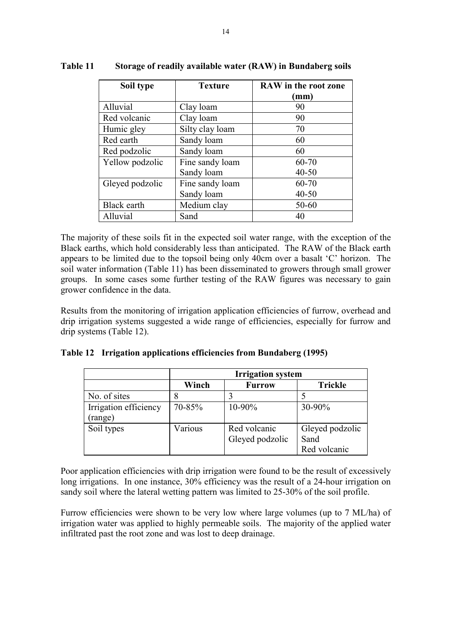| Soil type       | <b>Texture</b>  | <b>RAW</b> in the root zone |
|-----------------|-----------------|-----------------------------|
|                 |                 | (mm)                        |
| Alluvial        | Clay loam       | 90                          |
| Red volcanic    | Clay loam       | 90                          |
| Humic gley      | Silty clay loam | 70                          |
| Red earth       | Sandy loam      | 60                          |
| Red podzolic    | Sandy loam      | 60                          |
| Yellow podzolic | Fine sandy loam | 60-70                       |
|                 | Sandy loam      | $40 - 50$                   |
| Gleyed podzolic | Fine sandy loam | 60-70                       |
|                 | Sandy loam      | $40 - 50$                   |
| Black earth     | Medium clay     | $50 - 60$                   |
| Alluvial        | Sand            | 40                          |

**Table 11 Storage of readily available water (RAW) in Bundaberg soils** 

The majority of these soils fit in the expected soil water range, with the exception of the Black earths, which hold considerably less than anticipated. The RAW of the Black earth appears to be limited due to the topsoil being only 40cm over a basalt 'C' horizon. The soil water information (Table 11) has been disseminated to growers through small grower groups. In some cases some further testing of the RAW figures was necessary to gain grower confidence in the data.

Results from the monitoring of irrigation application efficiencies of furrow, overhead and drip irrigation systems suggested a wide range of efficiencies, especially for furrow and drip systems (Table 12).

|  | Table 12 Irrigation applications efficiencies from Bundaberg (1995) |  |  |
|--|---------------------------------------------------------------------|--|--|
|  |                                                                     |  |  |

|                                  | <b>Irrigation</b> system |                                 |                                         |
|----------------------------------|--------------------------|---------------------------------|-----------------------------------------|
|                                  | Winch                    | <b>Furrow</b>                   | <b>Trickle</b>                          |
| No. of sites                     |                          |                                 |                                         |
| Irrigation efficiency<br>(range) | 70-85%                   | 10-90%                          | 30-90%                                  |
| Soil types                       | Various                  | Red volcanic<br>Gleyed podzolic | Gleyed podzolic<br>Sand<br>Red volcanic |

Poor application efficiencies with drip irrigation were found to be the result of excessively long irrigations. In one instance, 30% efficiency was the result of a 24-hour irrigation on sandy soil where the lateral wetting pattern was limited to 25-30% of the soil profile.

Furrow efficiencies were shown to be very low where large volumes (up to 7 ML/ha) of irrigation water was applied to highly permeable soils. The majority of the applied water infiltrated past the root zone and was lost to deep drainage.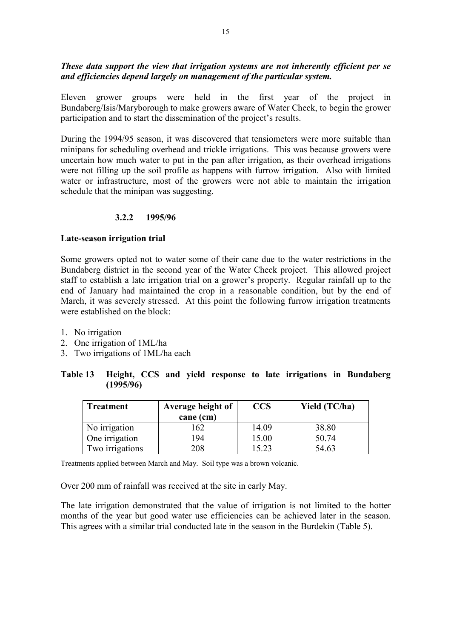### *These data support the view that irrigation systems are not inherently efficient per se and efficiencies depend largely on management of the particular system.*

Eleven grower groups were held in the first year of the project in Bundaberg/Isis/Maryborough to make growers aware of Water Check, to begin the grower participation and to start the dissemination of the project's results.

During the 1994/95 season, it was discovered that tensiometers were more suitable than minipans for scheduling overhead and trickle irrigations. This was because growers were uncertain how much water to put in the pan after irrigation, as their overhead irrigations were not filling up the soil profile as happens with furrow irrigation. Also with limited water or infrastructure, most of the growers were not able to maintain the irrigation schedule that the minipan was suggesting.

### **3.2.2 1995/96**

#### **Late-season irrigation trial**

Some growers opted not to water some of their cane due to the water restrictions in the Bundaberg district in the second year of the Water Check project. This allowed project staff to establish a late irrigation trial on a grower's property. Regular rainfall up to the end of January had maintained the crop in a reasonable condition, but by the end of March, it was severely stressed. At this point the following furrow irrigation treatments were established on the block:

- 1. No irrigation
- 2. One irrigation of 1ML/ha
- 3. Two irrigations of 1ML/ha each

### **Table 13 Height, CCS and yield response to late irrigations in Bundaberg (1995/96)**

| Average height of<br><b>Treatment</b> |           | <b>CCS</b> | Yield (TC/ha) |
|---------------------------------------|-----------|------------|---------------|
|                                       | cane (cm) |            |               |
| No irrigation                         | 162       | 14.09      | 38.80         |
| One irrigation                        | 194       | 15.00      | 50.74         |
| Two irrigations                       | 208       | 15.23      | 54.63         |

Treatments applied between March and May. Soil type was a brown volcanic.

Over 200 mm of rainfall was received at the site in early May.

The late irrigation demonstrated that the value of irrigation is not limited to the hotter months of the year but good water use efficiencies can be achieved later in the season. This agrees with a similar trial conducted late in the season in the Burdekin (Table 5).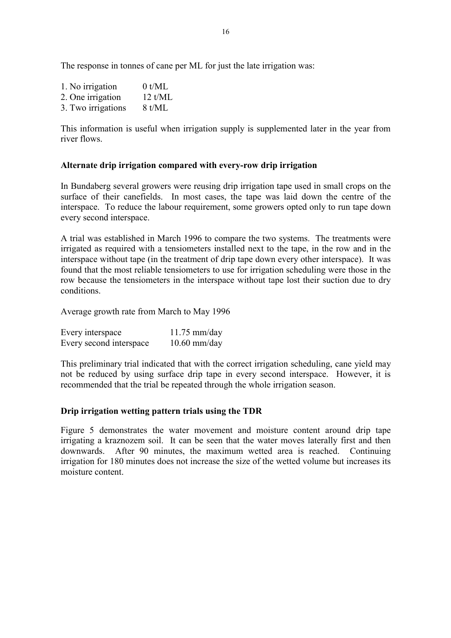The response in tonnes of cane per ML for just the late irrigation was:

1. No irrigation  $0 t/ML$ 2. One irrigation 12 t/ML 3. Two irrigations 8 t/ML

This information is useful when irrigation supply is supplemented later in the year from river flows.

#### **Alternate drip irrigation compared with every-row drip irrigation**

In Bundaberg several growers were reusing drip irrigation tape used in small crops on the surface of their canefields. In most cases, the tape was laid down the centre of the interspace. To reduce the labour requirement, some growers opted only to run tape down every second interspace.

A trial was established in March 1996 to compare the two systems. The treatments were irrigated as required with a tensiometers installed next to the tape, in the row and in the interspace without tape (in the treatment of drip tape down every other interspace). It was found that the most reliable tensiometers to use for irrigation scheduling were those in the row because the tensiometers in the interspace without tape lost their suction due to dry conditions.

Average growth rate from March to May 1996

| Every interspace        | $11.75$ mm/day |
|-------------------------|----------------|
| Every second interspace | $10.60$ mm/day |

This preliminary trial indicated that with the correct irrigation scheduling, cane yield may not be reduced by using surface drip tape in every second interspace. However, it is recommended that the trial be repeated through the whole irrigation season.

#### **Drip irrigation wetting pattern trials using the TDR**

Figure 5 demonstrates the water movement and moisture content around drip tape irrigating a kraznozem soil. It can be seen that the water moves laterally first and then downwards. After 90 minutes, the maximum wetted area is reached. Continuing irrigation for 180 minutes does not increase the size of the wetted volume but increases its moisture content.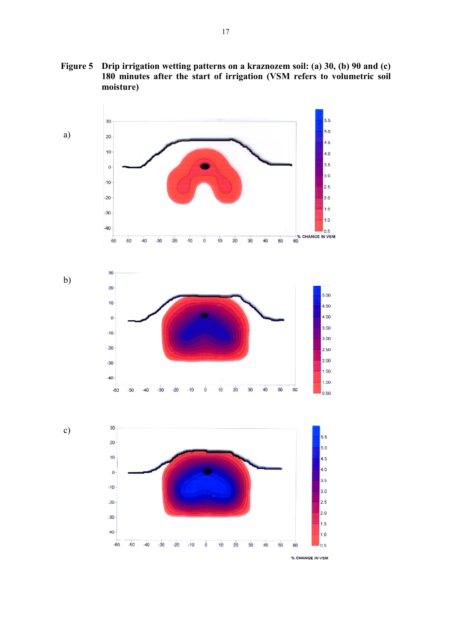**Figure 5 Drip irrigation wetting patterns on a kraznozem soil: (a) 30, (b) 90 and (c) 180 minutes after the start of irrigation (VSM refers to volumetric soil moisture)**

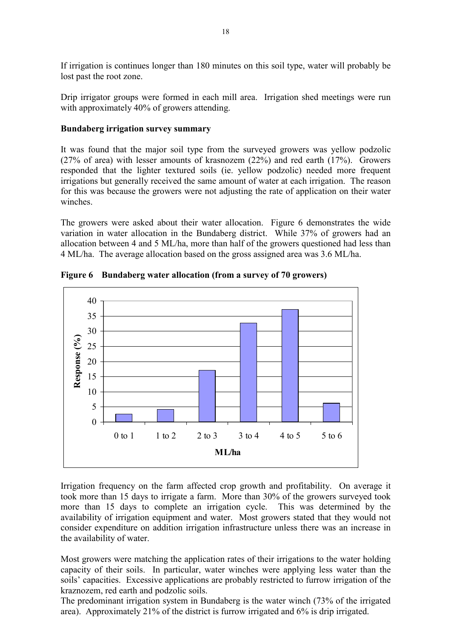If irrigation is continues longer than 180 minutes on this soil type, water will probably be lost past the root zone.

Drip irrigator groups were formed in each mill area. Irrigation shed meetings were run with approximately 40% of growers attending.

#### **Bundaberg irrigation survey summary**

It was found that the major soil type from the surveyed growers was yellow podzolic (27% of area) with lesser amounts of krasnozem (22%) and red earth (17%). Growers responded that the lighter textured soils (ie. yellow podzolic) needed more frequent irrigations but generally received the same amount of water at each irrigation. The reason for this was because the growers were not adjusting the rate of application on their water winches.

The growers were asked about their water allocation. Figure 6 demonstrates the wide variation in water allocation in the Bundaberg district. While 37% of growers had an allocation between 4 and 5 ML/ha, more than half of the growers questioned had less than 4 ML/ha. The average allocation based on the gross assigned area was 3.6 ML/ha.



**Figure 6 Bundaberg water allocation (from a survey of 70 growers)** 

Irrigation frequency on the farm affected crop growth and profitability. On average it took more than 15 days to irrigate a farm. More than 30% of the growers surveyed took more than 15 days to complete an irrigation cycle. This was determined by the availability of irrigation equipment and water. Most growers stated that they would not consider expenditure on addition irrigation infrastructure unless there was an increase in the availability of water.

Most growers were matching the application rates of their irrigations to the water holding capacity of their soils. In particular, water winches were applying less water than the soils' capacities. Excessive applications are probably restricted to furrow irrigation of the kraznozem, red earth and podzolic soils.

The predominant irrigation system in Bundaberg is the water winch (73% of the irrigated area). Approximately 21% of the district is furrow irrigated and 6% is drip irrigated.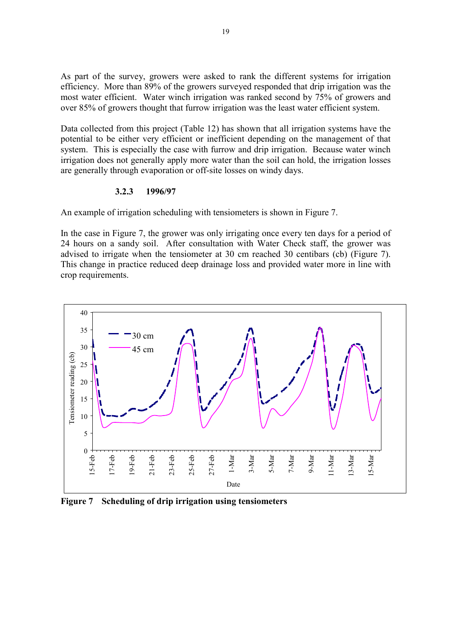As part of the survey, growers were asked to rank the different systems for irrigation efficiency. More than 89% of the growers surveyed responded that drip irrigation was the most water efficient. Water winch irrigation was ranked second by 75% of growers and over 85% of growers thought that furrow irrigation was the least water efficient system.

Data collected from this project (Table 12) has shown that all irrigation systems have the potential to be either very efficient or inefficient depending on the management of that system. This is especially the case with furrow and drip irrigation. Because water winch irrigation does not generally apply more water than the soil can hold, the irrigation losses are generally through evaporation or off-site losses on windy days.

#### **3.2.3 1996/97**

An example of irrigation scheduling with tensiometers is shown in Figure 7.

In the case in Figure 7, the grower was only irrigating once every ten days for a period of 24 hours on a sandy soil. After consultation with Water Check staff, the grower was advised to irrigate when the tensiometer at 30 cm reached 30 centibars (cb) (Figure 7). This change in practice reduced deep drainage loss and provided water more in line with crop requirements.



**Figure 7 Scheduling of drip irrigation using tensiometers**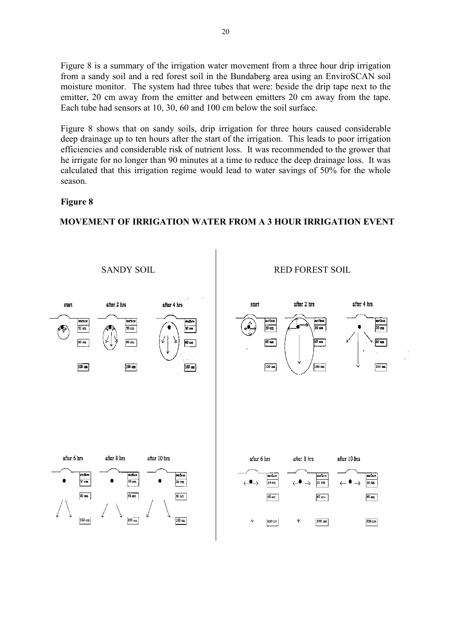Figure 8 is a summary of the irrigation water movement from a three hour drip irrigation from a sandy soil and a red forest soil in the Bundaberg area using an EnviroSCAN soil moisture monitor. The system had three tubes that were: beside the drip tape next to the emitter, 20 cm away from the emitter and between emitters 20 cm away from the tape. Each tube had sensors at 10, 30, 60 and 100 cm below the soil surface.

Figure 8 shows that on sandy soils, drip irrigation for three hours caused considerable deep drainage up to ten hours after the start of the irrigation. This leads to poor irrigation efficiencies and considerable risk of nutrient loss. It was recommended to the grower that he irrigate for no longer than 90 minutes at a time to reduce the deep drainage loss. It was calculated that this irrigation regime would lead to water savings of 50% for the whole season.

#### **Figure 8**

#### **MOVEMENT OF IRRIGATION WATER FROM A 3 HOUR IRRIGATION EVENT**

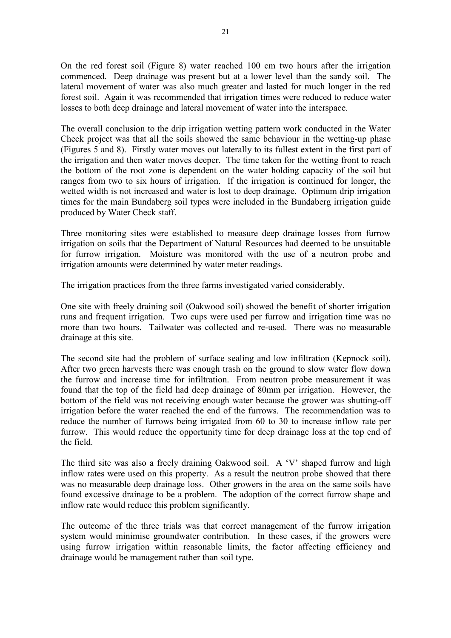On the red forest soil (Figure 8) water reached 100 cm two hours after the irrigation commenced. Deep drainage was present but at a lower level than the sandy soil. The lateral movement of water was also much greater and lasted for much longer in the red forest soil. Again it was recommended that irrigation times were reduced to reduce water losses to both deep drainage and lateral movement of water into the interspace.

The overall conclusion to the drip irrigation wetting pattern work conducted in the Water Check project was that all the soils showed the same behaviour in the wetting-up phase (Figures 5 and 8). Firstly water moves out laterally to its fullest extent in the first part of the irrigation and then water moves deeper. The time taken for the wetting front to reach the bottom of the root zone is dependent on the water holding capacity of the soil but ranges from two to six hours of irrigation. If the irrigation is continued for longer, the wetted width is not increased and water is lost to deep drainage. Optimum drip irrigation times for the main Bundaberg soil types were included in the Bundaberg irrigation guide produced by Water Check staff.

Three monitoring sites were established to measure deep drainage losses from furrow irrigation on soils that the Department of Natural Resources had deemed to be unsuitable for furrow irrigation. Moisture was monitored with the use of a neutron probe and irrigation amounts were determined by water meter readings.

The irrigation practices from the three farms investigated varied considerably.

One site with freely draining soil (Oakwood soil) showed the benefit of shorter irrigation runs and frequent irrigation. Two cups were used per furrow and irrigation time was no more than two hours. Tailwater was collected and re-used. There was no measurable drainage at this site.

The second site had the problem of surface sealing and low infiltration (Kepnock soil). After two green harvests there was enough trash on the ground to slow water flow down the furrow and increase time for infiltration. From neutron probe measurement it was found that the top of the field had deep drainage of 80mm per irrigation. However, the bottom of the field was not receiving enough water because the grower was shutting-off irrigation before the water reached the end of the furrows. The recommendation was to reduce the number of furrows being irrigated from 60 to 30 to increase inflow rate per furrow. This would reduce the opportunity time for deep drainage loss at the top end of the field.

The third site was also a freely draining Oakwood soil. A 'V' shaped furrow and high inflow rates were used on this property. As a result the neutron probe showed that there was no measurable deep drainage loss. Other growers in the area on the same soils have found excessive drainage to be a problem. The adoption of the correct furrow shape and inflow rate would reduce this problem significantly.

The outcome of the three trials was that correct management of the furrow irrigation system would minimise groundwater contribution. In these cases, if the growers were using furrow irrigation within reasonable limits, the factor affecting efficiency and drainage would be management rather than soil type.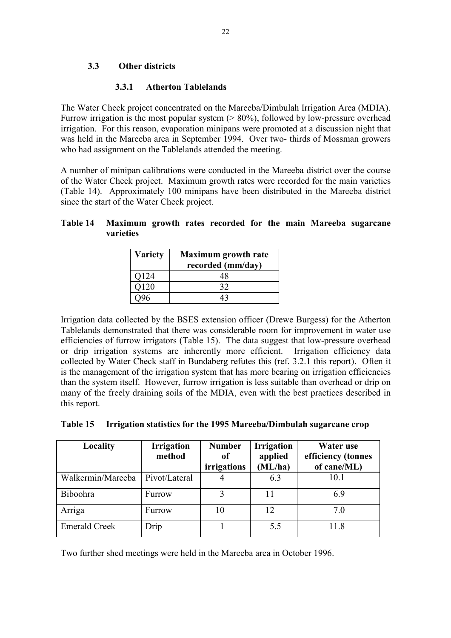### **3.3 Other districts**

### **3.3.1 Atherton Tablelands**

The Water Check project concentrated on the Mareeba/Dimbulah Irrigation Area (MDIA). Furrow irrigation is the most popular system  $(> 80\%)$ , followed by low-pressure overhead irrigation. For this reason, evaporation minipans were promoted at a discussion night that was held in the Mareeba area in September 1994. Over two- thirds of Mossman growers who had assignment on the Tablelands attended the meeting.

A number of minipan calibrations were conducted in the Mareeba district over the course of the Water Check project. Maximum growth rates were recorded for the main varieties (Table 14). Approximately 100 minipans have been distributed in the Mareeba district since the start of the Water Check project.

### **Table 14 Maximum growth rates recorded for the main Mareeba sugarcane varieties**

| <b>Variety</b> | <b>Maximum growth rate</b><br>recorded (mm/day) |
|----------------|-------------------------------------------------|
| Q124           | 48                                              |
| Q120           | 32                                              |
|                |                                                 |

Irrigation data collected by the BSES extension officer (Drewe Burgess) for the Atherton Tablelands demonstrated that there was considerable room for improvement in water use efficiencies of furrow irrigators (Table 15). The data suggest that low-pressure overhead or drip irrigation systems are inherently more efficient. Irrigation efficiency data collected by Water Check staff in Bundaberg refutes this (ref. 3.2.1 this report). Often it is the management of the irrigation system that has more bearing on irrigation efficiencies than the system itself. However, furrow irrigation is less suitable than overhead or drip on many of the freely draining soils of the MDIA, even with the best practices described in this report.

|  | Table 15 Irrigation statistics for the 1995 Mareeba/Dimbulah sugarcane crop |  |
|--|-----------------------------------------------------------------------------|--|
|  |                                                                             |  |

| Locality             | <b>Irrigation</b><br>method | <b>Number</b><br>of<br>irrigations | <b>Irrigation</b><br>applied<br>(ML/ha) | <b>Water use</b><br>efficiency (tonnes<br>of cane/ML) |
|----------------------|-----------------------------|------------------------------------|-----------------------------------------|-------------------------------------------------------|
| Walkermin/Mareeba    | Pivot/Lateral               |                                    | 6.3                                     | 10.1                                                  |
| Biboohra             | Furrow                      |                                    |                                         | 6.9                                                   |
| Arriga               | Furrow                      | 10                                 | 12.                                     | 7.0                                                   |
| <b>Emerald Creek</b> | Drip                        |                                    | 5.5                                     | 11.8                                                  |

Two further shed meetings were held in the Mareeba area in October 1996.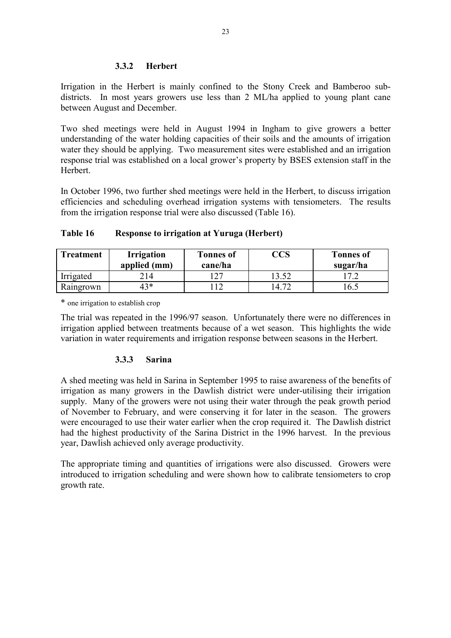### **3.3.2 Herbert**

Irrigation in the Herbert is mainly confined to the Stony Creek and Bamberoo subdistricts. In most years growers use less than 2 ML/ha applied to young plant cane between August and December.

Two shed meetings were held in August 1994 in Ingham to give growers a better understanding of the water holding capacities of their soils and the amounts of irrigation water they should be applying. Two measurement sites were established and an irrigation response trial was established on a local grower's property by BSES extension staff in the Herbert.

In October 1996, two further shed meetings were held in the Herbert, to discuss irrigation efficiencies and scheduling overhead irrigation systems with tensiometers. The results from the irrigation response trial were also discussed (Table 16).

| <b>Treatment</b> | <b>Irrigation</b><br>applied (mm) | <b>Tonnes of</b><br>cane/ha | $\overline{\text{CCS}}$ | <b>Tonnes of</b><br>sugar/ha |
|------------------|-----------------------------------|-----------------------------|-------------------------|------------------------------|
| Irrigated        | . I 4                             | つつ                          |                         |                              |
| Raingrown        | 13*                               |                             |                         | 6.5                          |

**Table 16 Response to irrigation at Yuruga (Herbert)** 

\* one irrigation to establish crop

The trial was repeated in the 1996/97 season. Unfortunately there were no differences in irrigation applied between treatments because of a wet season. This highlights the wide variation in water requirements and irrigation response between seasons in the Herbert.

### **3.3.3 Sarina**

A shed meeting was held in Sarina in September 1995 to raise awareness of the benefits of irrigation as many growers in the Dawlish district were under-utilising their irrigation supply. Many of the growers were not using their water through the peak growth period of November to February, and were conserving it for later in the season. The growers were encouraged to use their water earlier when the crop required it. The Dawlish district had the highest productivity of the Sarina District in the 1996 harvest. In the previous year, Dawlish achieved only average productivity.

The appropriate timing and quantities of irrigations were also discussed. Growers were introduced to irrigation scheduling and were shown how to calibrate tensiometers to crop growth rate.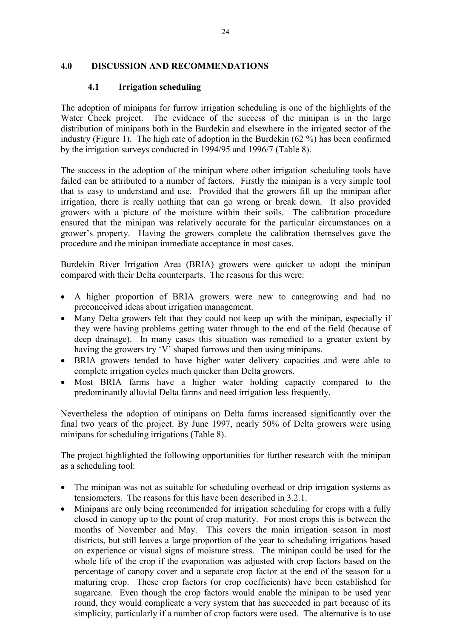### **4.0 DISCUSSION AND RECOMMENDATIONS**

### **4.1 Irrigation scheduling**

The adoption of minipans for furrow irrigation scheduling is one of the highlights of the Water Check project. The evidence of the success of the minipan is in the large distribution of minipans both in the Burdekin and elsewhere in the irrigated sector of the industry (Figure 1). The high rate of adoption in the Burdekin (62 %) has been confirmed by the irrigation surveys conducted in 1994/95 and 1996/7 (Table 8).

The success in the adoption of the minipan where other irrigation scheduling tools have failed can be attributed to a number of factors. Firstly the minipan is a very simple tool that is easy to understand and use. Provided that the growers fill up the minipan after irrigation, there is really nothing that can go wrong or break down. It also provided growers with a picture of the moisture within their soils. The calibration procedure ensured that the minipan was relatively accurate for the particular circumstances on a grower's property. Having the growers complete the calibration themselves gave the procedure and the minipan immediate acceptance in most cases.

Burdekin River Irrigation Area (BRIA) growers were quicker to adopt the minipan compared with their Delta counterparts. The reasons for this were:

- A higher proportion of BRIA growers were new to canegrowing and had no preconceived ideas about irrigation management.
- Many Delta growers felt that they could not keep up with the minipan, especially if they were having problems getting water through to the end of the field (because of deep drainage). In many cases this situation was remedied to a greater extent by having the growers try 'V' shaped furrows and then using minipans.
- BRIA growers tended to have higher water delivery capacities and were able to complete irrigation cycles much quicker than Delta growers.
- $\bullet$  Most BRIA farms have a higher water holding capacity compared to the predominantly alluvial Delta farms and need irrigation less frequently.

Nevertheless the adoption of minipans on Delta farms increased significantly over the final two years of the project. By June 1997, nearly 50% of Delta growers were using minipans for scheduling irrigations (Table 8).

The project highlighted the following opportunities for further research with the minipan as a scheduling tool:

- The minipan was not as suitable for scheduling overhead or drip irrigation systems as tensiometers. The reasons for this have been described in 3.2.1.
- $\bullet$  Minipans are only being recommended for irrigation scheduling for crops with a fully closed in canopy up to the point of crop maturity. For most crops this is between the months of November and May. This covers the main irrigation season in most districts, but still leaves a large proportion of the year to scheduling irrigations based on experience or visual signs of moisture stress. The minipan could be used for the whole life of the crop if the evaporation was adjusted with crop factors based on the percentage of canopy cover and a separate crop factor at the end of the season for a maturing crop. These crop factors (or crop coefficients) have been established for sugarcane. Even though the crop factors would enable the minipan to be used year round, they would complicate a very system that has succeeded in part because of its simplicity, particularly if a number of crop factors were used. The alternative is to use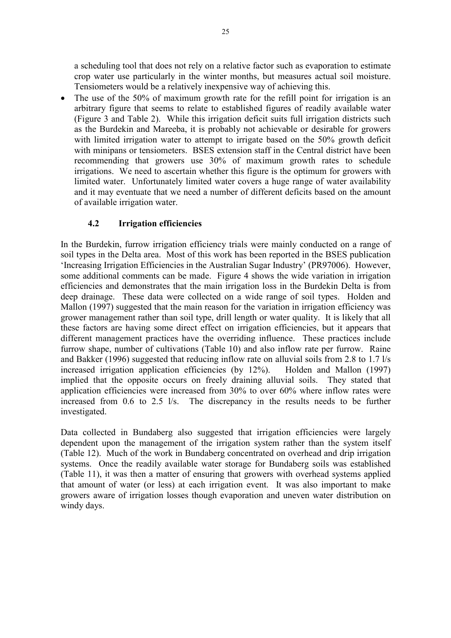a scheduling tool that does not rely on a relative factor such as evaporation to estimate crop water use particularly in the winter months, but measures actual soil moisture. Tensiometers would be a relatively inexpensive way of achieving this.

 $\bullet$  The use of the 50% of maximum growth rate for the refill point for irrigation is an arbitrary figure that seems to relate to established figures of readily available water (Figure 3 and Table 2). While this irrigation deficit suits full irrigation districts such as the Burdekin and Mareeba, it is probably not achievable or desirable for growers with limited irrigation water to attempt to irrigate based on the 50% growth deficit with minipans or tensiometers. BSES extension staff in the Central district have been recommending that growers use 30% of maximum growth rates to schedule irrigations. We need to ascertain whether this figure is the optimum for growers with limited water. Unfortunately limited water covers a huge range of water availability and it may eventuate that we need a number of different deficits based on the amount of available irrigation water.

### **4.2 Irrigation efficiencies**

In the Burdekin, furrow irrigation efficiency trials were mainly conducted on a range of soil types in the Delta area. Most of this work has been reported in the BSES publication 'Increasing Irrigation Efficiencies in the Australian Sugar Industry' (PR97006). However, some additional comments can be made. Figure 4 shows the wide variation in irrigation efficiencies and demonstrates that the main irrigation loss in the Burdekin Delta is from deep drainage. These data were collected on a wide range of soil types. Holden and Mallon (1997) suggested that the main reason for the variation in irrigation efficiency was grower management rather than soil type, drill length or water quality. It is likely that all these factors are having some direct effect on irrigation efficiencies, but it appears that different management practices have the overriding influence. These practices include furrow shape, number of cultivations (Table 10) and also inflow rate per furrow. Raine and Bakker (1996) suggested that reducing inflow rate on alluvial soils from 2.8 to 1.7 l/s increased irrigation application efficiencies (by 12%). Holden and Mallon (1997) implied that the opposite occurs on freely draining alluvial soils. They stated that application efficiencies were increased from 30% to over 60% where inflow rates were increased from 0.6 to 2.5 l/s. The discrepancy in the results needs to be further investigated.

Data collected in Bundaberg also suggested that irrigation efficiencies were largely dependent upon the management of the irrigation system rather than the system itself (Table 12). Much of the work in Bundaberg concentrated on overhead and drip irrigation systems. Once the readily available water storage for Bundaberg soils was established (Table 11), it was then a matter of ensuring that growers with overhead systems applied that amount of water (or less) at each irrigation event. It was also important to make growers aware of irrigation losses though evaporation and uneven water distribution on windy days.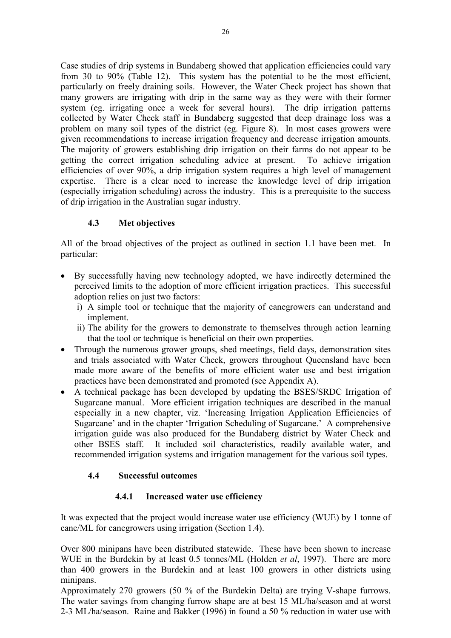Case studies of drip systems in Bundaberg showed that application efficiencies could vary from 30 to 90% (Table 12). This system has the potential to be the most efficient, particularly on freely draining soils. However, the Water Check project has shown that many growers are irrigating with drip in the same way as they were with their former system (eg. irrigating once a week for several hours). The drip irrigation patterns collected by Water Check staff in Bundaberg suggested that deep drainage loss was a problem on many soil types of the district (eg. Figure 8). In most cases growers were given recommendations to increase irrigation frequency and decrease irrigation amounts. The majority of growers establishing drip irrigation on their farms do not appear to be getting the correct irrigation scheduling advice at present. To achieve irrigation efficiencies of over 90%, a drip irrigation system requires a high level of management expertise. There is a clear need to increase the knowledge level of drip irrigation (especially irrigation scheduling) across the industry. This is a prerequisite to the success of drip irrigation in the Australian sugar industry.

### **4.3 Met objectives**

All of the broad objectives of the project as outlined in section 1.1 have been met. In particular:

- By successfully having new technology adopted, we have indirectly determined the perceived limits to the adoption of more efficient irrigation practices. This successful adoption relies on just two factors:
	- i) A simple tool or technique that the majority of canegrowers can understand and implement.
	- ii) The ability for the growers to demonstrate to themselves through action learning that the tool or technique is beneficial on their own properties.
- Through the numerous grower groups, shed meetings, field days, demonstration sites and trials associated with Water Check, growers throughout Queensland have been made more aware of the benefits of more efficient water use and best irrigation practices have been demonstrated and promoted (see Appendix A).
- $\bullet$  A technical package has been developed by updating the BSES/SRDC Irrigation of Sugarcane manual. More efficient irrigation techniques are described in the manual especially in a new chapter, viz. 'Increasing Irrigation Application Efficiencies of Sugarcane' and in the chapter 'Irrigation Scheduling of Sugarcane.' A comprehensive irrigation guide was also produced for the Bundaberg district by Water Check and other BSES staff. It included soil characteristics, readily available water, and recommended irrigation systems and irrigation management for the various soil types.

### **4.4 Successful outcomes**

### **4.4.1 Increased water use efficiency**

It was expected that the project would increase water use efficiency (WUE) by 1 tonne of cane/ML for canegrowers using irrigation (Section 1.4).

Over 800 minipans have been distributed statewide. These have been shown to increase WUE in the Burdekin by at least 0.5 tonnes/ML (Holden *et al*, 1997). There are more than 400 growers in the Burdekin and at least 100 growers in other districts using minipans.

Approximately 270 growers (50 % of the Burdekin Delta) are trying V-shape furrows. The water savings from changing furrow shape are at best 15 ML/ha/season and at worst 2-3 ML/ha/season. Raine and Bakker (1996) in found a 50 % reduction in water use with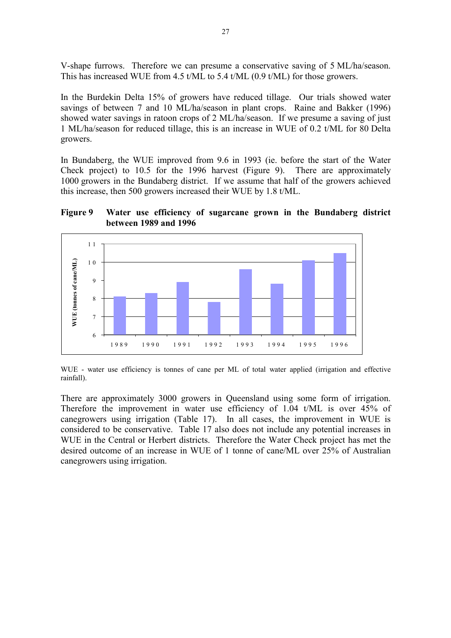V-shape furrows. Therefore we can presume a conservative saving of 5 ML/ha/season. This has increased WUE from 4.5 t/ML to 5.4 t/ML (0.9 t/ML) for those growers.

In the Burdekin Delta 15% of growers have reduced tillage. Our trials showed water savings of between 7 and 10 ML/ha/season in plant crops. Raine and Bakker (1996) showed water savings in ratoon crops of 2 ML/ha/season. If we presume a saving of just 1 ML/ha/season for reduced tillage, this is an increase in WUE of 0.2 t/ML for 80 Delta growers.

In Bundaberg, the WUE improved from 9.6 in 1993 (ie. before the start of the Water Check project) to 10.5 for the 1996 harvest (Figure 9). There are approximately 1000 growers in the Bundaberg district. If we assume that half of the growers achieved this increase, then 500 growers increased their WUE by 1.8 t/ML.

**Figure 9 Water use efficiency of sugarcane grown in the Bundaberg district between 1989 and 1996** 



WUE - water use efficiency is tonnes of cane per ML of total water applied (irrigation and effective rainfall).

There are approximately 3000 growers in Queensland using some form of irrigation. Therefore the improvement in water use efficiency of 1.04 t/ML is over 45% of canegrowers using irrigation (Table 17). In all cases, the improvement in WUE is considered to be conservative. Table 17 also does not include any potential increases in WUE in the Central or Herbert districts. Therefore the Water Check project has met the desired outcome of an increase in WUE of 1 tonne of cane/ML over 25% of Australian canegrowers using irrigation.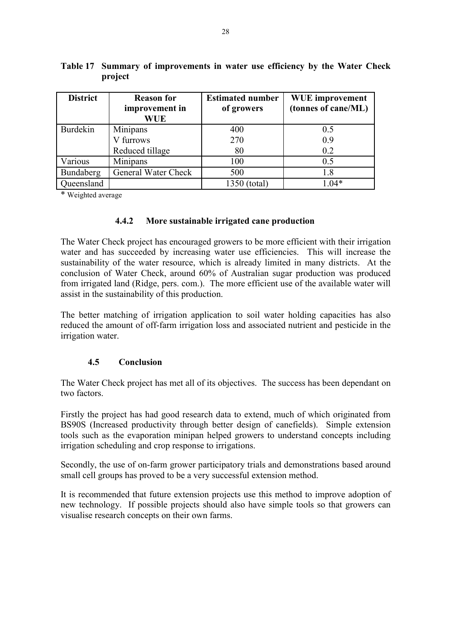| <b>District</b> | <b>Reason for</b><br>improvement in<br>WUE | <b>Estimated number</b><br>of growers | <b>WUE</b> improvement<br>(tonnes of cane/ML) |
|-----------------|--------------------------------------------|---------------------------------------|-----------------------------------------------|
| <b>Burdekin</b> | Minipans                                   | 400                                   | 0.5                                           |
|                 | V furrows                                  | 270                                   | 0.9                                           |
|                 | Reduced tillage                            | 80                                    | 0.2                                           |
| Various         | Minipans                                   | 100                                   | 0.5                                           |
| Bundaberg       | General Water Check                        | 500                                   | 1.8                                           |
| Queensland      |                                            | 1350 (total)                          | 1 04*                                         |

**Table 17 Summary of improvements in water use efficiency by the Water Check project** 

\* Weighted average

#### **4.4.2 More sustainable irrigated cane production**

The Water Check project has encouraged growers to be more efficient with their irrigation water and has succeeded by increasing water use efficiencies. This will increase the sustainability of the water resource, which is already limited in many districts. At the conclusion of Water Check, around 60% of Australian sugar production was produced from irrigated land (Ridge, pers. com.). The more efficient use of the available water will assist in the sustainability of this production.

The better matching of irrigation application to soil water holding capacities has also reduced the amount of off-farm irrigation loss and associated nutrient and pesticide in the irrigation water.

#### **4.5 Conclusion**

The Water Check project has met all of its objectives. The success has been dependant on two factors.

Firstly the project has had good research data to extend, much of which originated from BS90S (Increased productivity through better design of canefields). Simple extension tools such as the evaporation minipan helped growers to understand concepts including irrigation scheduling and crop response to irrigations.

Secondly, the use of on-farm grower participatory trials and demonstrations based around small cell groups has proved to be a very successful extension method.

It is recommended that future extension projects use this method to improve adoption of new technology. If possible projects should also have simple tools so that growers can visualise research concepts on their own farms.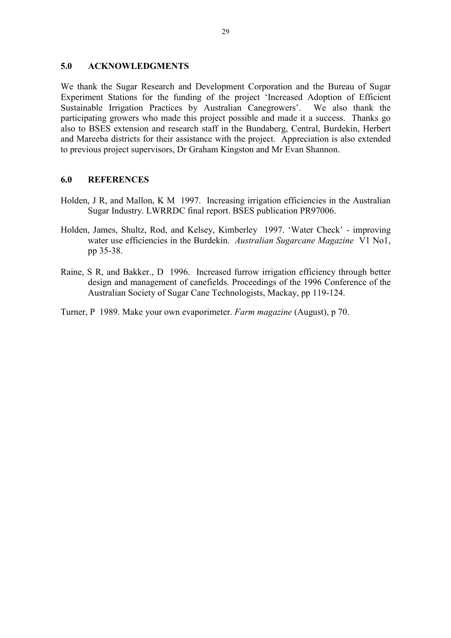#### **5.0 ACKNOWLEDGMENTS**

We thank the Sugar Research and Development Corporation and the Bureau of Sugar Experiment Stations for the funding of the project 'Increased Adoption of Efficient Sustainable Irrigation Practices by Australian Canegrowers'. We also thank the participating growers who made this project possible and made it a success. Thanks go also to BSES extension and research staff in the Bundaberg, Central, Burdekin, Herbert and Mareeba districts for their assistance with the project. Appreciation is also extended to previous project supervisors, Dr Graham Kingston and Mr Evan Shannon.

### **6.0 REFERENCES**

- Holden, J R, and Mallon, K M 1997. Increasing irrigation efficiencies in the Australian Sugar Industry. LWRRDC final report. BSES publication PR97006.
- Holden, James, Shultz, Rod, and Kelsey, Kimberley 1997. 'Water Check' improving water use efficiencies in the Burdekin. *Australian Sugarcane Magazine* V1 No1, pp 35-38.
- Raine, S R, and Bakker., D 1996. Increased furrow irrigation efficiency through better design and management of canefields. Proceedings of the 1996 Conference of the Australian Society of Sugar Cane Technologists, Mackay, pp 119-124.

Turner, P 1989. Make your own evaporimeter. *Farm magazine* (August), p 70.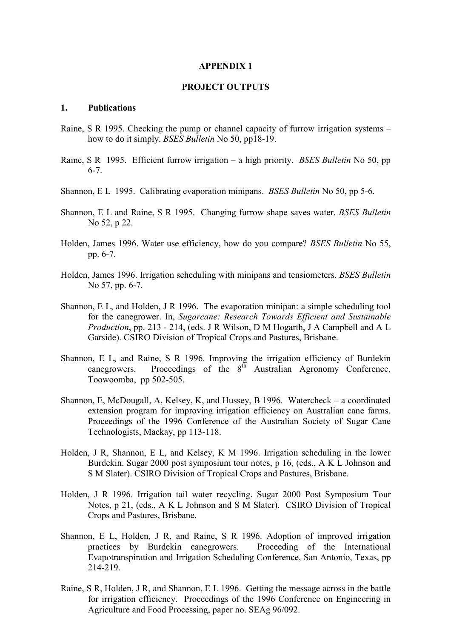#### **APPENDIX 1**

#### **PROJECT OUTPUTS**

#### **1. Publications**

- Raine, S R 1995. Checking the pump or channel capacity of furrow irrigation systems how to do it simply. *BSES Bulletin* No 50, pp18-19.
- Raine, S R 1995. Efficient furrow irrigation a high priority. *BSES Bulletin* No 50, pp 6-7.
- Shannon, E L 1995. Calibrating evaporation minipans. *BSES Bulletin* No 50, pp 5-6.
- Shannon, E L and Raine, S R 1995. Changing furrow shape saves water. *BSES Bulletin* No 52, p 22.
- Holden, James 1996. Water use efficiency, how do you compare? *BSES Bulletin* No 55, pp. 6-7.
- Holden, James 1996. Irrigation scheduling with minipans and tensiometers. *BSES Bulletin* No 57, pp. 6-7.
- Shannon, E L, and Holden, J R 1996. The evaporation minipan: a simple scheduling tool for the canegrower. In, *Sugarcane: Research Towards Efficient and Sustainable Production*, pp. 213 - 214, (eds. J R Wilson, D M Hogarth, J A Campbell and A L Garside). CSIRO Division of Tropical Crops and Pastures, Brisbane.
- Shannon, E L, and Raine, S R 1996. Improving the irrigation efficiency of Burdekin canegrowers. Proceedings of the  $8^{th}$  Australian Agronomy Conference, Toowoomba, pp 502-505.
- Shannon, E, McDougall, A, Kelsey, K, and Hussey, B 1996. Watercheck a coordinated extension program for improving irrigation efficiency on Australian cane farms. Proceedings of the 1996 Conference of the Australian Society of Sugar Cane Technologists, Mackay, pp 113-118.
- Holden, J R, Shannon, E L, and Kelsey, K M 1996. Irrigation scheduling in the lower Burdekin. Sugar 2000 post symposium tour notes, p 16, (eds., A K L Johnson and S M Slater). CSIRO Division of Tropical Crops and Pastures, Brisbane.
- Holden, J R 1996. Irrigation tail water recycling. Sugar 2000 Post Symposium Tour Notes, p 21, (eds., A K L Johnson and S M Slater). CSIRO Division of Tropical Crops and Pastures, Brisbane.
- Shannon, E L, Holden, J R, and Raine, S R 1996. Adoption of improved irrigation practices by Burdekin canegrowers. Proceeding of the International Evapotranspiration and Irrigation Scheduling Conference, San Antonio, Texas, pp 214-219.
- Raine, S R, Holden, J R, and Shannon, E L 1996. Getting the message across in the battle for irrigation efficiency. Proceedings of the 1996 Conference on Engineering in Agriculture and Food Processing, paper no. SEAg 96/092.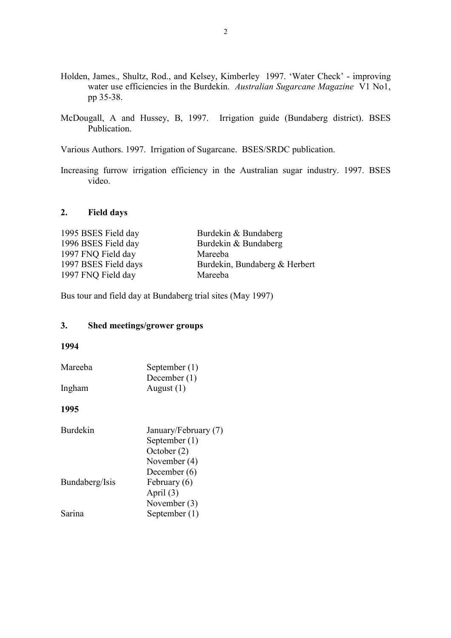- Holden, James., Shultz, Rod., and Kelsey, Kimberley 1997. 'Water Check' improving water use efficiencies in the Burdekin. *Australian Sugarcane Magazine* V1 No1, pp 35-38.
- McDougall, A and Hussey, B, 1997. Irrigation guide (Bundaberg district). BSES Publication.

Various Authors. 1997. Irrigation of Sugarcane. BSES/SRDC publication.

Increasing furrow irrigation efficiency in the Australian sugar industry. 1997. BSES video.

#### **2. Field days**

| 1995 BSES Field day  | Burdekin & Bundaberg          |
|----------------------|-------------------------------|
| 1996 BSES Field day  | Burdekin & Bundaberg          |
| 1997 FNQ Field day   | Mareeba                       |
| 1997 BSES Field days | Burdekin, Bundaberg & Herbert |
| 1997 FNQ Field day   | Mareeba                       |

Bus tour and field day at Bundaberg trial sites (May 1997)

#### **3. Shed meetings/grower groups**

#### **1994**

| Mareeba | September $(1)$ |
|---------|-----------------|
|         | December $(1)$  |
| Ingham  | August $(1)$    |

**1995** 

| <b>Burdekin</b> | January/February (7) |
|-----------------|----------------------|
|                 | September (1)        |
|                 | October $(2)$        |
|                 | November (4)         |
|                 | December $(6)$       |
| Bundaberg/Isis  | February (6)         |
|                 | April $(3)$          |
|                 | November $(3)$       |
| Sarina          | September (1)        |
|                 |                      |